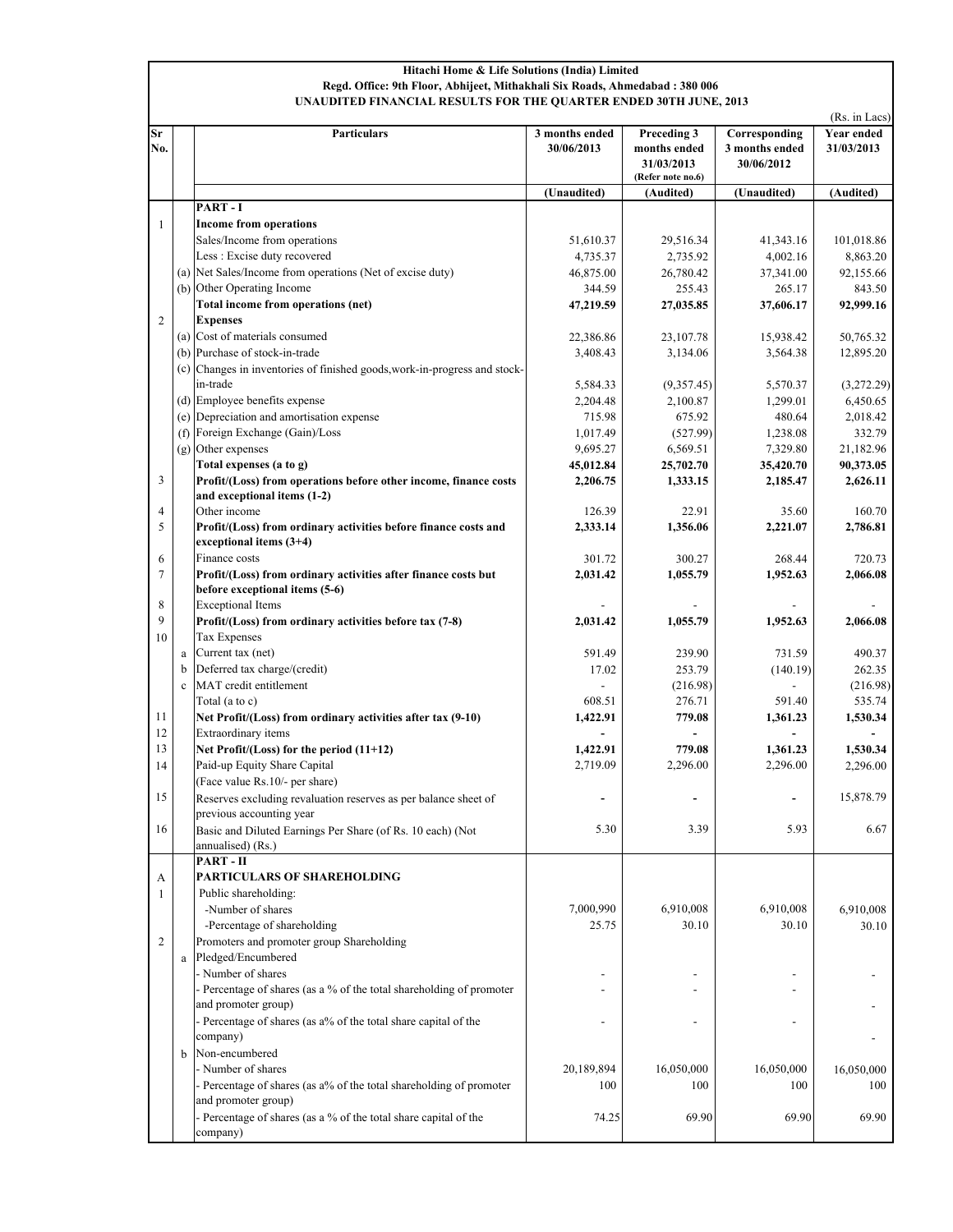## Hitachi Home & Life Solutions (India) Limited Regd. Office: 9th Floor, Abhijeet, Mithakhali Six Roads, Ahmedabad : 380 006 UNAUDITED FINANCIAL RESULTS FOR THE QUARTER ENDED 30TH JUNE, 2013

|                |              |                                                                                 |                              |                                                                |                                               | (Rs. in Lacs)            |  |
|----------------|--------------|---------------------------------------------------------------------------------|------------------------------|----------------------------------------------------------------|-----------------------------------------------|--------------------------|--|
| Sr<br>No.      |              | Particulars                                                                     | 3 months ended<br>30/06/2013 | Preceding 3<br>months ended<br>31/03/2013<br>(Refer note no.6) | Corresponding<br>3 months ended<br>30/06/2012 | Year ended<br>31/03/2013 |  |
|                |              |                                                                                 | (Unaudited)                  | (Audited)                                                      | (Unaudited)                                   | (Audited)                |  |
|                |              | PART-I                                                                          |                              |                                                                |                                               |                          |  |
| $\mathbf{1}$   |              | <b>Income from operations</b>                                                   |                              |                                                                |                                               |                          |  |
|                |              | Sales/Income from operations                                                    | 51,610.37                    | 29,516.34                                                      | 41,343.16                                     | 101,018.86               |  |
|                |              | Less : Excise duty recovered                                                    | 4,735.37                     | 2,735.92                                                       | 4,002.16                                      | 8,863.20                 |  |
|                |              | (a) Net Sales/Income from operations (Net of excise duty)                       | 46,875.00                    | 26,780.42                                                      | 37,341.00                                     | 92,155.66                |  |
|                |              | (b) Other Operating Income                                                      | 344.59                       | 255.43                                                         | 265.17                                        | 843.50                   |  |
|                |              | Total income from operations (net)                                              | 47,219.59                    | 27,035.85                                                      | 37,606.17                                     | 92,999.16                |  |
| $\overline{c}$ |              | <b>Expenses</b>                                                                 |                              |                                                                |                                               |                          |  |
|                |              | (a) Cost of materials consumed                                                  | 22,386.86                    | 23,107.78                                                      | 15,938.42                                     | 50,765.32                |  |
|                |              | (b) Purchase of stock-in-trade                                                  | 3,408.43                     | 3,134.06                                                       | 3,564.38                                      | 12,895.20                |  |
|                |              | (c) Changes in inventories of finished goods, work-in-progress and stock-       |                              |                                                                |                                               |                          |  |
|                |              | in-trade                                                                        | 5,584.33                     | (9,357.45)                                                     | 5,570.37                                      | (3,272.29)               |  |
|                |              | (d) Employee benefits expense                                                   | 2,204.48                     | 2,100.87                                                       | 1,299.01                                      | 6,450.65                 |  |
|                |              | (e) Depreciation and amortisation expense                                       | 715.98                       | 675.92                                                         | 480.64                                        | 2,018.42                 |  |
|                |              | (f) Foreign Exchange (Gain)/Loss                                                | 1,017.49                     | (527.99)                                                       | 1,238.08                                      | 332.79                   |  |
|                |              | (g) Other expenses                                                              | 9,695.27                     | 6,569.51                                                       | 7,329.80                                      | 21,182.96                |  |
|                |              | Total expenses (a to g)                                                         | 45,012.84                    | 25,702.70                                                      | 35,420.70                                     | 90,373.05                |  |
| 3              |              | Profit/(Loss) from operations before other income, finance costs                | 2,206.75                     | 1,333.15                                                       | 2,185.47                                      | 2,626.11                 |  |
|                |              | and exceptional items (1-2)                                                     |                              |                                                                |                                               |                          |  |
| 4              |              | Other income                                                                    | 126.39                       | 22.91                                                          | 35.60                                         | 160.70                   |  |
| 5              |              | Profit/(Loss) from ordinary activities before finance costs and                 | 2.333.14                     | 1.356.06                                                       | 2,221.07                                      | 2,786.81                 |  |
|                |              | exceptional items $(3+4)$                                                       |                              |                                                                |                                               |                          |  |
| 6              |              | Finance costs                                                                   | 301.72                       | 300.27                                                         | 268.44                                        | 720.73                   |  |
| $\tau$         |              | Profit/(Loss) from ordinary activities after finance costs but                  | 2,031.42                     | 1,055.79                                                       | 1,952.63                                      | 2,066.08                 |  |
|                |              | before exceptional items (5-6)                                                  |                              |                                                                |                                               |                          |  |
| 8              |              | <b>Exceptional Items</b>                                                        |                              |                                                                |                                               |                          |  |
| 9              |              | Profit/(Loss) from ordinary activities before tax (7-8)                         | 2,031.42                     | 1,055.79                                                       | 1,952.63                                      | 2,066.08                 |  |
| 10             |              | <b>Tax Expenses</b>                                                             |                              |                                                                |                                               |                          |  |
|                | a            | Current tax (net)                                                               | 591.49                       | 239.90                                                         | 731.59                                        | 490.37                   |  |
|                | b            | Deferred tax charge/(credit)                                                    | 17.02                        | 253.79                                                         | (140.19)                                      | 262.35                   |  |
|                | $\mathbf{c}$ | MAT credit entitlement                                                          |                              | (216.98)                                                       |                                               | (216.98)                 |  |
|                |              | Total (a to c)                                                                  | 608.51                       | 276.71                                                         | 591.40                                        | 535.74                   |  |
| 11             |              | Net Profit/(Loss) from ordinary activities after tax (9-10)                     | 1,422.91                     | 779.08                                                         | 1,361.23                                      | 1,530.34                 |  |
| 12<br>13       |              | Extraordinary items                                                             |                              |                                                                |                                               |                          |  |
|                |              | Net Profit/(Loss) for the period (11+12)<br>Paid-up Equity Share Capital        | 1,422.91                     | 779.08                                                         | 1,361.23<br>2,296.00                          | 1,530.34                 |  |
| 14             |              | (Face value Rs.10/- per share)                                                  | 2,719.09                     | 2,296.00                                                       |                                               | 2,296.00                 |  |
|                |              |                                                                                 |                              |                                                                |                                               |                          |  |
| 15             |              | Reserves excluding revaluation reserves as per balance sheet of                 |                              |                                                                |                                               | 15,878.79                |  |
| 16             |              | previous accounting year                                                        | 5.30                         | 3.39                                                           | 5.93                                          | 6.67                     |  |
|                |              | Basic and Diluted Earnings Per Share (of Rs. 10 each) (Not<br>annualised) (Rs.) |                              |                                                                |                                               |                          |  |
|                |              | PART-II                                                                         |                              |                                                                |                                               |                          |  |
| A              |              | PARTICULARS OF SHAREHOLDING                                                     |                              |                                                                |                                               |                          |  |
| 1              |              | Public shareholding:                                                            |                              |                                                                |                                               |                          |  |
|                |              | -Number of shares                                                               | 7,000,990                    | 6,910,008                                                      | 6,910,008                                     | 6,910,008                |  |
|                |              | -Percentage of shareholding                                                     | 25.75                        | 30.10                                                          | 30.10                                         | 30.10                    |  |
| $\overline{2}$ |              | Promoters and promoter group Shareholding                                       |                              |                                                                |                                               |                          |  |
|                |              | a Pledged/Encumbered                                                            |                              |                                                                |                                               |                          |  |
|                |              | - Number of shares                                                              |                              |                                                                |                                               |                          |  |
|                |              | - Percentage of shares (as a % of the total shareholding of promoter            |                              |                                                                |                                               |                          |  |
|                |              | and promoter group)                                                             |                              |                                                                |                                               |                          |  |
|                |              | - Percentage of shares (as a% of the total share capital of the                 |                              |                                                                |                                               |                          |  |
|                |              | company)                                                                        |                              |                                                                |                                               |                          |  |
|                | b            | Non-encumbered                                                                  |                              |                                                                |                                               |                          |  |
|                |              | - Number of shares                                                              | 20,189,894                   | 16,050,000                                                     | 16,050,000                                    | 16,050,000               |  |
|                |              | - Percentage of shares (as a% of the total shareholding of promoter             | 100                          | 100                                                            | 100                                           | 100                      |  |
|                |              | and promoter group)                                                             |                              |                                                                |                                               |                          |  |
|                |              | - Percentage of shares (as a % of the total share capital of the                | 74.25                        | 69.90                                                          | 69.90                                         | 69.90                    |  |
|                |              | company)                                                                        |                              |                                                                |                                               |                          |  |